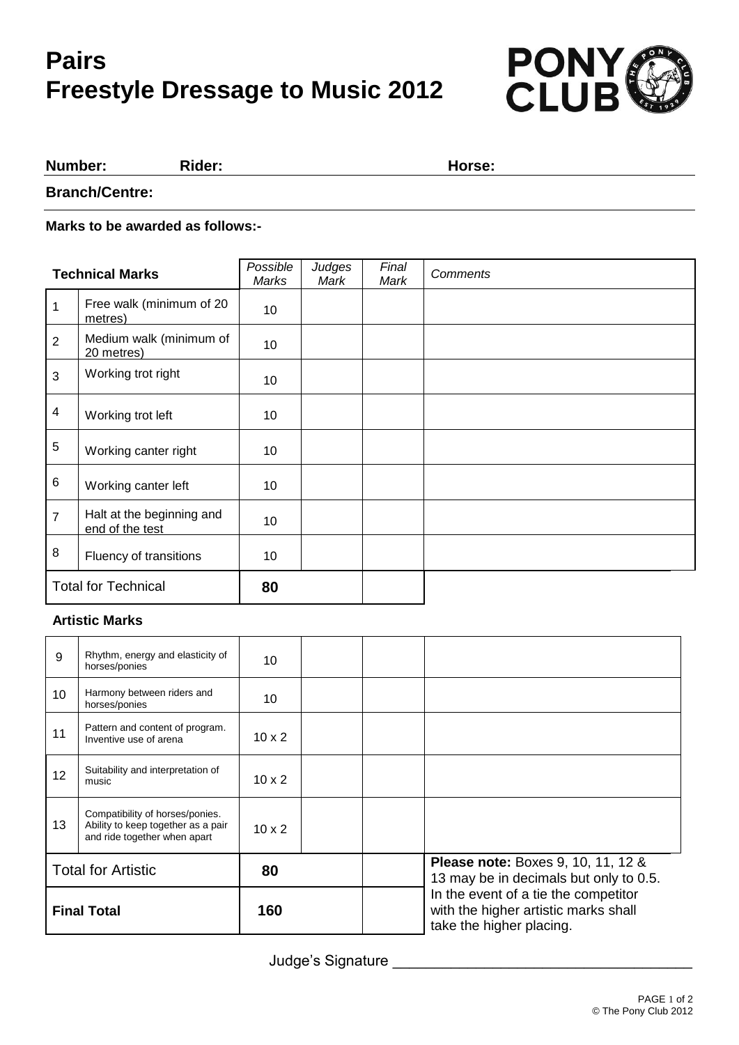# **Pairs Freestyle Dressage to Music 2012**



#### **Number: Rider: Horse:**

**Branch/Centre:**

#### **Marks to be awarded as follows:-**

| <b>Technical Marks</b>     |                                              | Possible<br>Marks | Judges<br>Mark | Final<br>Mark | Comments |
|----------------------------|----------------------------------------------|-------------------|----------------|---------------|----------|
| 1                          | Free walk (minimum of 20<br>metres)          | 10                |                |               |          |
| 2                          | Medium walk (minimum of<br>20 metres)        | 10                |                |               |          |
| 3                          | Working trot right                           | 10                |                |               |          |
| $\overline{\mathbf{4}}$    | Working trot left                            | 10                |                |               |          |
| $\sqrt{5}$                 | Working canter right                         | 10                |                |               |          |
| $\,6$                      | Working canter left                          | 10                |                |               |          |
| $\overline{7}$             | Halt at the beginning and<br>end of the test | 10                |                |               |          |
| 8                          | Fluency of transitions                       | 10                |                |               |          |
| <b>Total for Technical</b> |                                              | 80                |                |               |          |

### **Artistic Marks**

| 9                         | Rhythm, energy and elasticity of<br>horses/ponies                                                     | 10            |  |                                                                                                          |
|---------------------------|-------------------------------------------------------------------------------------------------------|---------------|--|----------------------------------------------------------------------------------------------------------|
| 10                        | Harmony between riders and<br>horses/ponies                                                           | 10            |  |                                                                                                          |
| 11                        | Pattern and content of program.<br>Inventive use of arena                                             | $10 \times 2$ |  |                                                                                                          |
| 12                        | Suitability and interpretation of<br>music                                                            | $10 \times 2$ |  |                                                                                                          |
| 13                        | Compatibility of horses/ponies.<br>Ability to keep together as a pair<br>and ride together when apart | $10 \times 2$ |  |                                                                                                          |
| <b>Total for Artistic</b> |                                                                                                       | 80            |  | <b>Please note: Boxes 9, 10, 11, 12 &amp;</b><br>13 may be in decimals but only to 0.5.                  |
| <b>Final Total</b>        |                                                                                                       | 160           |  | In the event of a tie the competitor<br>with the higher artistic marks shall<br>take the higher placing. |